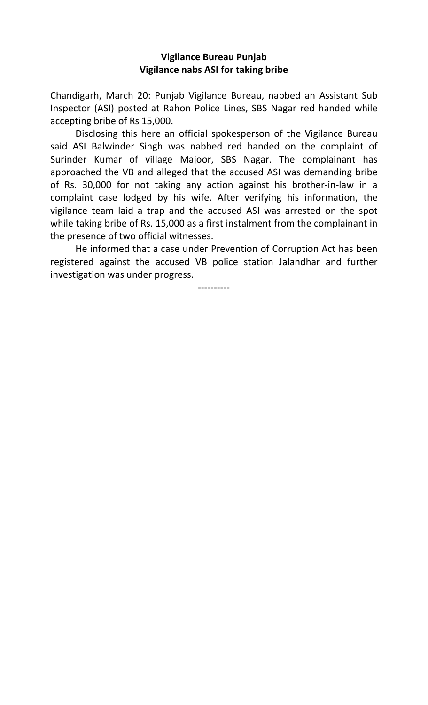## **Vigilance Bureau Punjab Vigilance nabs ASI for taking bribe**

Chandigarh, March 20: Punjab Vigilance Bureau, nabbed an Assistant Sub Inspector (ASI) posted at Rahon Police Lines, SBS Nagar red handed while accepting bribe of Rs 15,000.

Disclosing this here an official spokesperson of the Vigilance Bureau said ASI Balwinder Singh was nabbed red handed on the complaint of Surinder Kumar of village Majoor, SBS Nagar. The complainant has approached the VB and alleged that the accused ASI was demanding bribe of Rs. 30,000 for not taking any action against his brother-in-law in a complaint case lodged by his wife. After verifying his information, the vigilance team laid a trap and the accused ASI was arrested on the spot while taking bribe of Rs. 15,000 as a first instalment from the complainant in the presence of two official witnesses.

 He informed that a case under Prevention of Corruption Act has been registered against the accused VB police station Jalandhar and further investigation was under progress.

----------